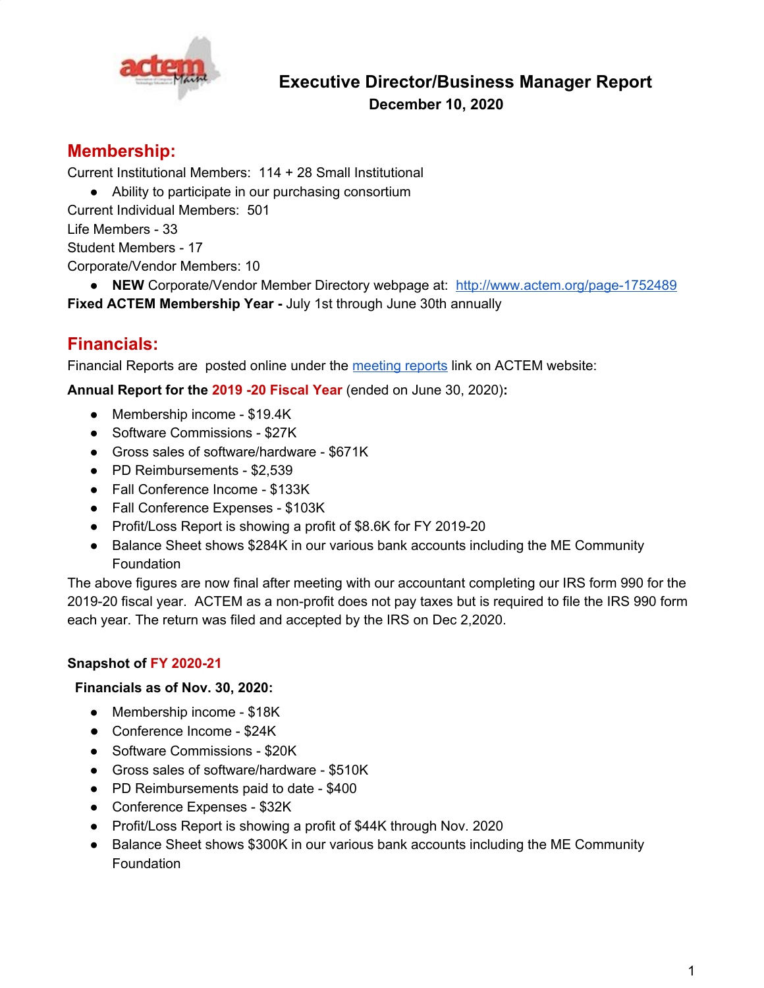

# **Executive Director/Business Manager Report December 10, 2020**

# **Membership:**

Current Institutional Members: 114 + 28 Small Institutional

● Ability to participate in our purchasing consortium

Current Individual Members: 501

Life Members - 33

Student Members - 17

Corporate/Vendor Members: 10

● **NEW** Corporate/Vendor Member Directory webpage at: <http://www.actem.org/page-1752489> **Fixed ACTEM Membership Year -** July 1st through June 30th annually

# **Financials:**

Financial Reports are posted online under the [meeting](http://www.actem.org/page-1752538) reports link on ACTEM website:

**Annual Report for the 2019 -20 Fiscal Year** (ended on June 30, 2020)**:**

- Membership income \$19.4K
- Software Commissions \$27K
- Gross sales of software/hardware \$671K
- PD Reimbursements \$2,539
- Fall Conference Income \$133K
- Fall Conference Expenses \$103K
- Profit/Loss Report is showing a profit of \$8.6K for FY 2019-20
- Balance Sheet shows \$284K in our various bank accounts including the ME Community Foundation

The above figures are now final after meeting with our accountant completing our IRS form 990 for the 2019-20 fiscal year. ACTEM as a non-profit does not pay taxes but is required to file the IRS 990 form each year. The return was filed and accepted by the IRS on Dec 2,2020.

## **Snapshot of FY 2020-21**

### **Financials as of Nov. 30, 2020:**

- Membership income \$18K
- Conference Income \$24K
- Software Commissions \$20K
- Gross sales of software/hardware \$510K
- PD Reimbursements paid to date \$400
- Conference Expenses \$32K
- Profit/Loss Report is showing a profit of \$44K through Nov. 2020
- Balance Sheet shows \$300K in our various bank accounts including the ME Community Foundation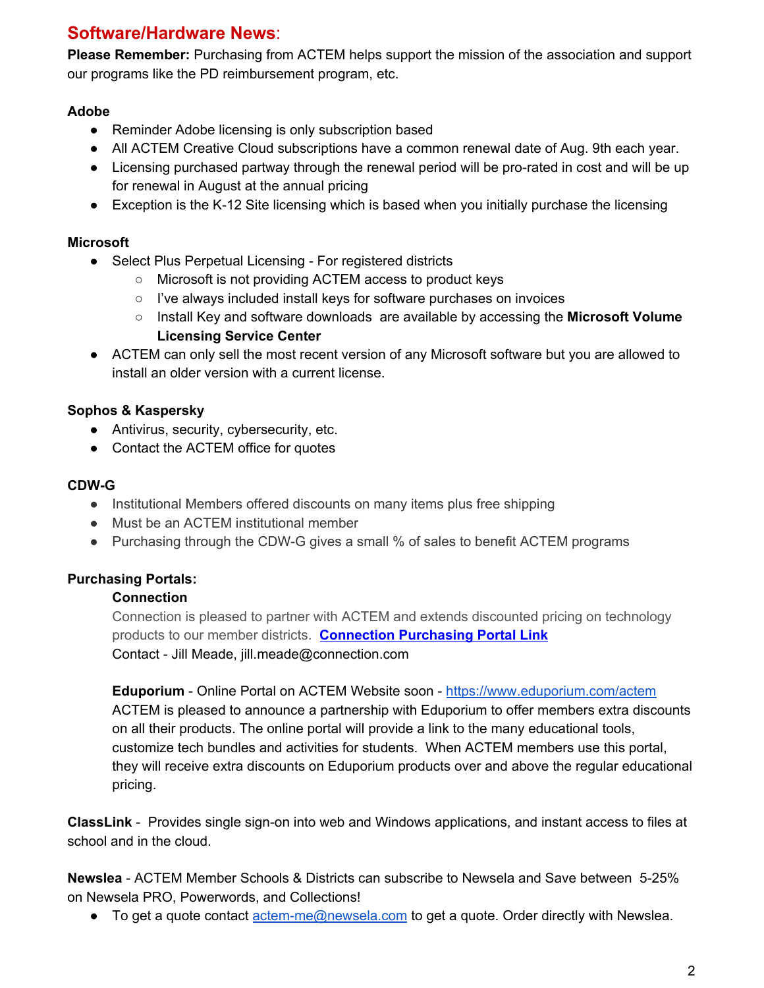# **Software/Hardware News**:

**Please Remember:** Purchasing from ACTEM helps support the mission of the association and support our programs like the PD reimbursement program, etc.

### **Adobe**

- Reminder Adobe licensing is only subscription based
- All ACTEM Creative Cloud subscriptions have a common renewal date of Aug. 9th each year.
- Licensing purchased partway through the renewal period will be pro-rated in cost and will be up for renewal in August at the annual pricing
- Exception is the K-12 Site licensing which is based when you initially purchase the licensing

## **Microsoft**

- Select Plus Perpetual Licensing For registered districts
	- Microsoft is not providing ACTEM access to product keys
	- I've always included install keys for software purchases on invoices
	- Install Key and software downloads are available by accessing the **Microsoft Volume Licensing Service Center**
- ACTEM can only sell the most recent version of any Microsoft software but you are allowed to install an older version with a current license.

## **Sophos & Kaspersky**

- Antivirus, security, cybersecurity, etc.
- Contact the ACTEM office for quotes

### **CDW-G**

- Institutional Members offered discounts on many items plus free shipping
- Must be an ACTEM institutional member
- Purchasing through the CDW-G gives a small % of sales to benefit ACTEM programs

## **Purchasing Portals:**

## **Connection**

Connection is pleased to partner with ACTEM and extends discounted pricing on technology products to our member districts. **[Connection](http://www.govconnection.com/actem) Purchasing Portal Link** Contact - Jill Meade, jill.meade@connection.com

**Eduporium** - Online Portal on ACTEM Website soon - <https://www.eduporium.com/actem> ACTEM is pleased to announce a partnership with Eduporium to offer members extra discounts on all their products. The online portal will provide a link to the many educational tools, customize tech bundles and activities for students. When ACTEM members use this portal, they will receive extra discounts on Eduporium products over and above the regular educational pricing.

**ClassLink** - Provides single sign-on into web and Windows applications, and instant access to files at school and in the cloud.

**Newslea** - ACTEM Member Schools & Districts can subscribe to Newsela and Save between 5-25% on Newsela PRO, Powerwords, and Collections!

 $\bullet$  To get a quote contact [actem-me@newsela.com](mailto:actem-me@newsela.com) to get a quote. Order directly with Newslea.